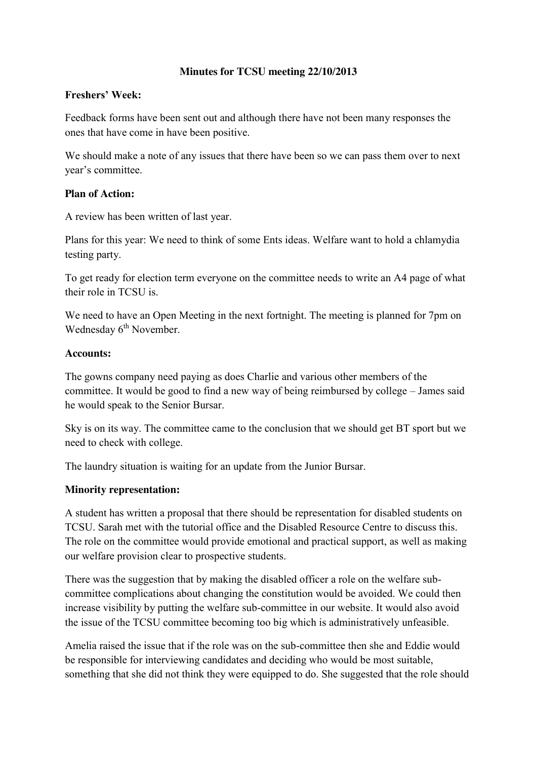## **Minutes for TCSU meeting 22/10/2013**

## **Freshers' Week:**

Feedback forms have been sent out and although there have not been many responses the ones that have come in have been positive.

We should make a note of any issues that there have been so we can pass them over to next year's committee.

#### **Plan of Action:**

A review has been written of last year.

Plans for this year: We need to think of some Ents ideas. Welfare want to hold a chlamydia testing party.

To get ready for election term everyone on the committee needs to write an A4 page of what their role in TCSU is.

We need to have an Open Meeting in the next fortnight. The meeting is planned for 7pm on Wednesday 6<sup>th</sup> November.

#### **Accounts:**

The gowns company need paying as does Charlie and various other members of the committee. It would be good to find a new way of being reimbursed by college – James said he would speak to the Senior Bursar.

Sky is on its way. The committee came to the conclusion that we should get BT sport but we need to check with college.

The laundry situation is waiting for an update from the Junior Bursar.

## **Minority representation:**

A student has written a proposal that there should be representation for disabled students on TCSU. Sarah met with the tutorial office and the Disabled Resource Centre to discuss this. The role on the committee would provide emotional and practical support, as well as making our welfare provision clear to prospective students.

There was the suggestion that by making the disabled officer a role on the welfare subcommittee complications about changing the constitution would be avoided. We could then increase visibility by putting the welfare sub-committee in our website. It would also avoid the issue of the TCSU committee becoming too big which is administratively unfeasible.

Amelia raised the issue that if the role was on the sub-committee then she and Eddie would be responsible for interviewing candidates and deciding who would be most suitable, something that she did not think they were equipped to do. She suggested that the role should